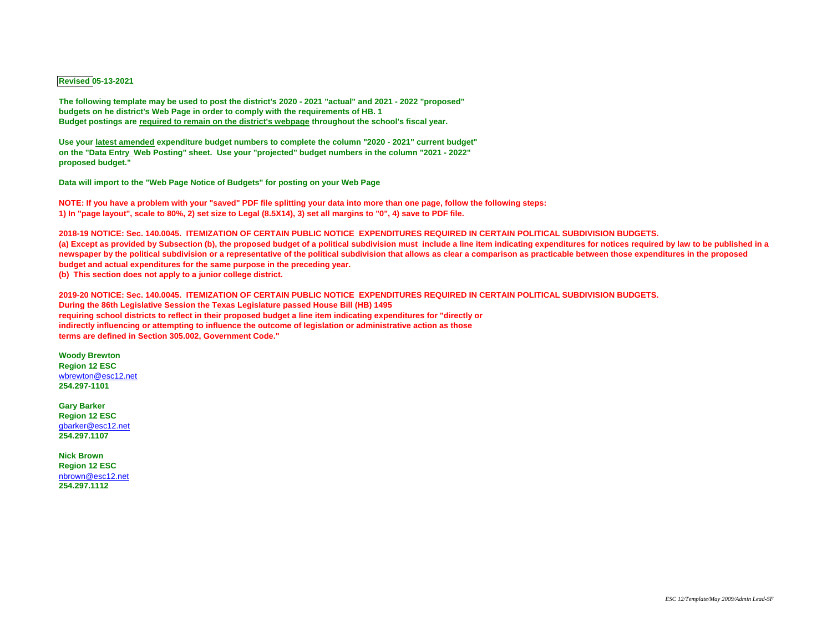## **Revised 05-13-2021**

**The following template may be used to post the district's 2020 - 2021 "actual" and 2021 - 2022 "proposed" budgets on he district's Web Page in order to comply with the requirements of HB. 1 Budget postings are required to remain on the district's webpage throughout the school's fiscal year.**

**Use your latest amended expenditure budget numbers to complete the column "2020 - 2021" current budget" on the "Data Entry\_Web Posting" sheet. Use your "projected" budget numbers in the column "2021 - 2022" proposed budget."**

**Data will import to the "Web Page Notice of Budgets" for posting on your Web Page**

**NOTE: If you have a problem with your "saved" PDF file splitting your data into more than one page, follow the following steps: 1) In "page layout", scale to 80%, 2) set size to Legal (8.5X14), 3) set all margins to "0", 4) save to PDF file.**

**2018-19 NOTICE: Sec. 140.0045. ITEMIZATION OF CERTAIN PUBLIC NOTICE EXPENDITURES REQUIRED IN CERTAIN POLITICAL SUBDIVISION BUDGETS. (a) Except as provided by Subsection (b), the proposed budget of a political subdivision must include a line item indicating expenditures for notices required by law to be published in a newspaper by the political subdivision or a representative of the political subdivision that allows as clear a comparison as practicable between those expenditures in the proposed budget and actual expenditures for the same purpose in the preceding year. (b) This section does not apply to a junior college district.**

**2019-20 NOTICE: Sec. 140.0045. ITEMIZATION OF CERTAIN PUBLIC NOTICE EXPENDITURES REQUIRED IN CERTAIN POLITICAL SUBDIVISION BUDGETS. During the 86th Legislative Session the Texas Legislature passed House Bill (HB) 1495 requiring school districts to reflect in their proposed budget a line item indicating expenditures for "directly or indirectly influencing or attempting to influence the outcome of legislation or administrative action as those terms are defined in Section 305.002, Government Code."**

**Woody Brewton Region 12 ESC** [wbrewton@esc12.net](mailto:wbrewton@esc12.net) **254.297-1101**

**Gary Barker Region 12 ESC** [gbarker@esc12.net](mailto:gbarker@esc12.net) **254.297.1107**

**Nick Brown Region 12 ESC** [nbrown@esc12.net](mailto:nbrown@esc12.net) **254.297.1112**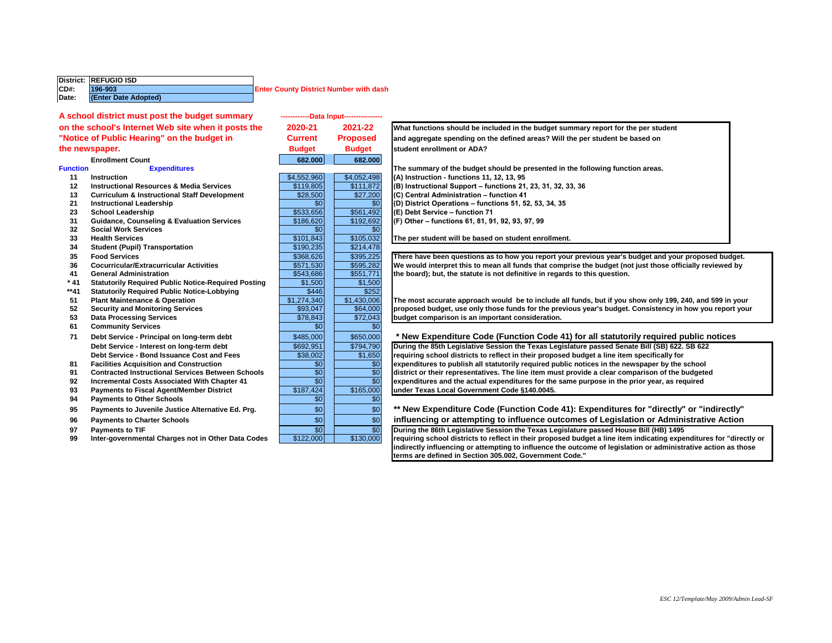|       | District: REFUGIO ISD |                                               |
|-------|-----------------------|-----------------------------------------------|
| CD#   | 196-903               | <b>Enter County District Number with dash</b> |
| Date: | (Enter Date Adopted)  |                                               |

## **Enrollment Count**<br>Expenditures

- 
- 
- 
- 
- 
- **31 Guidance, Counseling & Evaluation Services** \$186,620 \$192,692 **(F) Other functions 61, 81, 91, 92, 93, 97, 99**
- **32 Social Work Services**
- 
- **34 Student (Pupil) Transportation**<br>**35 Food Services**
- 
- 
- 
- **\* 41 Statutorily Required Public Notice-Required Posting** \$1,500 \$1,500
- \*\*41 **Statutorily Required Public Notice-Lobbying**<br>51 Plant Maintenance & Operation
- 
- 
- **61 Community Services**
- 
- 
- 
- 
- 
- **Payments to Other Schools**
- 
- 
- 
- 

|                 | A school district must post the budget summary             |                 | ------------Data Input---------------- |                                                       |
|-----------------|------------------------------------------------------------|-----------------|----------------------------------------|-------------------------------------------------------|
|                 | on the school's Internet Web site when it posts the        | 2020-21         | 2021-22                                | What functions should be included in the budge        |
|                 | "Notice of Public Hearing" on the budget in                | <b>Current</b>  | <b>Proposed</b>                        | and aggregate spending on the defined areas? V        |
|                 | the newspaper.                                             | <b>Budget</b>   | <b>Budget</b>                          | student enrollment or ADA?                            |
|                 | <b>Enrollment Count</b>                                    | 682.000         | 682.000                                |                                                       |
| <b>Function</b> | <b>Expenditures</b>                                        |                 |                                        | The summary of the budget should be presented         |
| 11              | <b>Instruction</b>                                         | \$4,552,960     | \$4,052,498                            | (A) Instruction - functions 11, 12, 13, 95            |
| 12              | <b>Instructional Resources &amp; Media Services</b>        | \$119,805       | \$111.872                              | (B) Instructional Support - functions 21, 23, 31,     |
| 13              | <b>Curriculum &amp; Instructional Staff Development</b>    | \$28,500        | \$27,200                               | (C) Central Administration - function 41              |
| 21              | <b>Instructional Leadership</b>                            | \$0             | $\overline{30}$                        | (D) District Operations - functions 51, 52, 53, 34    |
| 23              | <b>School Leadership</b>                                   | \$533,656       | \$561,492                              | (E) Debt Service - function 71                        |
| 31              | <b>Guidance, Counseling &amp; Evaluation Services</b>      | \$186,620       | \$192,692                              | (F) Other - functions 61, 81, 91, 92, 93, 97, 99      |
| 32              | <b>Social Work Services</b>                                | \$0             | \$0                                    |                                                       |
| 33              | <b>Health Services</b>                                     | \$101,843       | \$105,032                              | The per student will be based on student enrollr      |
| 34              | <b>Student (Pupil) Transportation</b>                      | \$190,235       | \$214,478                              |                                                       |
| 35              | <b>Food Services</b>                                       | \$368,626       | \$395,225                              | There have been questions as to how you report        |
| 36              | <b>Cocurricular/Extracurricular Activities</b>             | \$571,530       | \$595,282                              | We would interpret this to mean all funds that co     |
| 41              | <b>General Administration</b>                              | \$543,686       | \$551,771                              | the board); but, the statute is not definitive in re- |
| $*41$           | <b>Statutorily Required Public Notice-Required Posting</b> | \$1,500         | \$1,500                                |                                                       |
| **41            | <b>Statutorily Required Public Notice-Lobbying</b>         | \$446           | \$252                                  |                                                       |
| 51              | <b>Plant Maintenance &amp; Operation</b>                   | \$1,274,340     | \$1,430,006                            | The most accurate approach would be to includ         |
| 52              | <b>Security and Monitoring Services</b>                    | \$93,047        | \$64,000                               | proposed budget, use only those funds for the p       |
| 53              | <b>Data Processing Services</b>                            | \$78,843        | \$72,043                               | budget comparison is an important consideratio        |
| 61              | <b>Community Services</b>                                  | \$0             | $\overline{30}$                        |                                                       |
| 71              | Debt Service - Principal on long-term debt                 | \$485,000       | \$650,000                              | * New Expenditure Code (Function Code                 |
|                 | Debt Service - Interest on long-term debt                  | \$692,951       | \$794.790                              | During the 85th Legislative Session the Texas Lo      |
|                 | Debt Service - Bond Issuance Cost and Fees                 | \$38,002        | \$1,650                                | requiring school districts to reflect in their prope  |
| 81              | <b>Facilities Acquisition and Construction</b>             | \$0             | \$0                                    | expenditures to publish all statutorily required p    |
| 91              | <b>Contracted Instructional Services Between Schools</b>   | $\overline{30}$ | \$0                                    | district or their representatives. The line item mi   |
| 92              | <b>Incremental Costs Associated With Chapter 41</b>        | $\overline{30}$ | $\overline{30}$                        | expenditures and the actual expenditures for the      |
| 93              | <b>Payments to Fiscal Agent/Member District</b>            | \$187,424       | \$165,000                              | under Texas Local Government Code §140.0045.          |
| 94              | <b>Payments to Other Schools</b>                           | \$0             | \$0                                    |                                                       |
| 95              | Payments to Juvenile Justice Alternative Ed. Prg.          | \$0             | \$0                                    | ** New Expenditure Code (Function Cod                 |
| 96              | <b>Payments to Charter Schools</b>                         | \$0             | \$0                                    | influencing or attempting to influence or             |
| 97              | <b>Payments to TIF</b>                                     | \$0             | $\overline{30}$                        | During the 86th Legislative Session the Texas Lo      |
| 99              | Inter-governmental Charges not in Other Data Codes         | \$122,000       | \$130,000                              | requiring school districts to reflect in their prope  |
|                 |                                                            |                 |                                        | indiractly influencing ar attampting to influence.    |

**on the school's Internet Web site when it posts the 2020-21 2021-22 What functions should be included in the budget summary report for the per student "Notice of Public Hearing" on the budget in Current Proposed and aggregate spending on the defined areas? Will the per student be based on**

**Function Expenditures The summary of the budget should be presented in the following function areas. Instruction** \$4,552,960 \$4,052,498 **(A) Instruction - functions 11, 12, 13, 95 Instructional Resources & Media Services** \$119,805 \$111,872 **(B) Instructional Support – functions 21, 23, 31, 32, 33, 36 Curriculum & Instructional Staff Development** \$28,500 \$27,200 **(C) Central Administration – function 41 Instructional Leadership** \$0 \$0 **(D) District Operations – functions 51, 52, 53, 34, 35**

**358,626** \$368,626 \$368,626 \$395,225 There have been questions as to how you report your previous year's budget and your proposed budget.<br>36 Cocurricular/Extracurricular Activities **1990 \$200 \$200 \$595,282 We would interpr 36** Cocurricular/Extracurricular Activities **\$571,530** \$595,282 We would interpret this to mean all funds that comprise the budget (not just those officially reviewed by 41 **General Administration 601 <b>111 1243,686 13551,771 1 1 1 the board); but, the statute is not definitive in regards to this question.** 

**51** Plant Maintenance & Operation<br> **1998 1998 1998 1998 1998 1998 1998 1998 1998 1998 1998 1998 1998 1998 1998 1998 1998 1998 1998 1998 1998 1998 1999 1998 1999 1999 199 52** Security and Monitoring Services **688,047** \$93,047 \$64,000 **proposed budget, use only those funds for the previous year's budget. Consistency in how you report your <br>578,843 \$72,043 budget comparison is an important c 53** Data Processing Services **budget and State of the State of State 3**872,043 **budget comparison is an important consideration.** 

71 **Debt Service - Principal on long-term debt**  $\begin{array}{r} \mid \quad \text{$\$485,000} \mid \\ \mid \quad \text{$\$650,000} \mid \quad \text{$\$650,000} \mid \quad \text{$\$6000} \mid \quad \text{$\$80000} \mid \quad \text{$\$80000} \mid \quad \text{$\$80000} \mid \quad \text{$\$80000} \mid \quad \text{$\$80000} \mid \quad \text{$\$80000} \mid \quad \text{$\$80000} \mid \quad$ 

**Debt Service - Interest on long-term debt 1994 1999 SEGEN 100 STAGEN 100 During the 85th Legislative Session the Texas Legislature passed Senate Bill (SB) 622. SB 622 <b>Cell SEGEN 100 STAGEN 100 STAGEN STAG** requiring school districts to reflect in their proposed budget a line item specifically for 81 Facilities Acquisition and Construction **80 expenditures to publish all statutorily required public notices in the newspaper by the school <b>Fig. 1 Expenditures** to publish all statutorily required public notices in 91 Contracted Instructional Services Between Schools **6 6 \times \$0 \times** district or their representatives. The line item must provide a clear comparison of the budgeted **92** Incremental Costs Associated With Chapter 41 **1990 in the SO expenditures and the actual expenditures for the same purpose in the prior year, as required <br>93 Payments to Fiscal Agent/Member District <b>1991 12:20 12:2** 

**95 Payments to Juvenile Justice Alternative Ed. Prg.** \$0 \$0 **\*\* New Expenditure Code (Function Code 41): Expenditures for "directly" or "indirectly" 96** Payments to Charter Schools **1998 influencing or attempting to influence outcomes of Legislation or Administrative Action** 

**97** Payments to TIF **1495 Participate 19th Constrained Service Constrained Bill (HB) 1495 During the 86th Legislative Session the Texas Legislature passed House Bill (HB) 1495** 99 Inter-governmental Charges not in Other Data Codes \$122,000 \$130,000 requiring school districts to reflect in their proposed budget a line item indicating expenditures for "directly or **indirectly influencing or attempting to influence the outcome of legislation or administrative action as those terms are defined in Section 305.002, Government Code."**